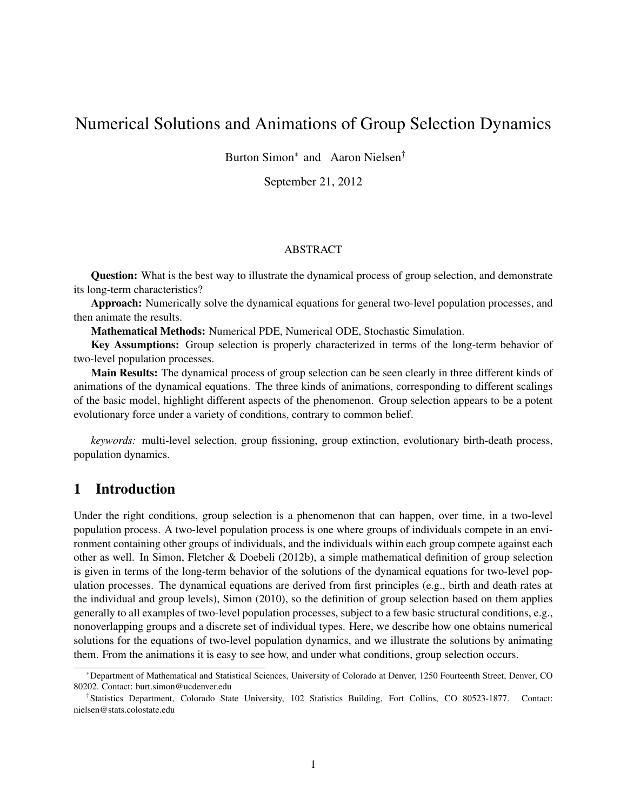# Numerical Solutions and Animations of Group Selection Dynamics

Burton Simon<sup>∗</sup> and Aaron Nielsen<sup>†</sup>

September 21, 2012

### ABSTRACT

Question: What is the best way to illustrate the dynamical process of group selection, and demonstrate its long-term characteristics?

Approach: Numerically solve the dynamical equations for general two-level population processes, and then animate the results.

Mathematical Methods: Numerical PDE, Numerical ODE, Stochastic Simulation.

Key Assumptions: Group selection is properly characterized in terms of the long-term behavior of two-level population processes.

Main Results: The dynamical process of group selection can be seen clearly in three different kinds of animations of the dynamical equations. The three kinds of animations, corresponding to different scalings of the basic model, highlight different aspects of the phenomenon. Group selection appears to be a potent evolutionary force under a variety of conditions, contrary to common belief.

*keywords:* multi-level selection, group fissioning, group extinction, evolutionary birth-death process, population dynamics.

### 1 Introduction

Under the right conditions, group selection is a phenomenon that can happen, over time, in a two-level population process. A two-level population process is one where groups of individuals compete in an environment containing other groups of individuals, and the individuals within each group compete against each other as well. In Simon, Fletcher & Doebeli (2012b), a simple mathematical definition of group selection is given in terms of the long-term behavior of the solutions of the dynamical equations for two-level population processes. The dynamical equations are derived from first principles (e.g., birth and death rates at the individual and group levels), Simon (2010), so the definition of group selection based on them applies generally to all examples of two-level population processes, subject to a few basic structural conditions, e.g., nonoverlapping groups and a discrete set of individual types. Here, we describe how one obtains numerical solutions for the equations of two-level population dynamics, and we illustrate the solutions by animating them. From the animations it is easy to see how, and under what conditions, group selection occurs.

<sup>∗</sup>Department of Mathematical and Statistical Sciences, University of Colorado at Denver, 1250 Fourteenth Street, Denver, CO 80202. Contact: burt.simon@ucdenver.edu

<sup>†</sup>Statistics Department, Colorado State University, 102 Statistics Building, Fort Collins, CO 80523-1877. Contact: nielsen@stats.colostate.edu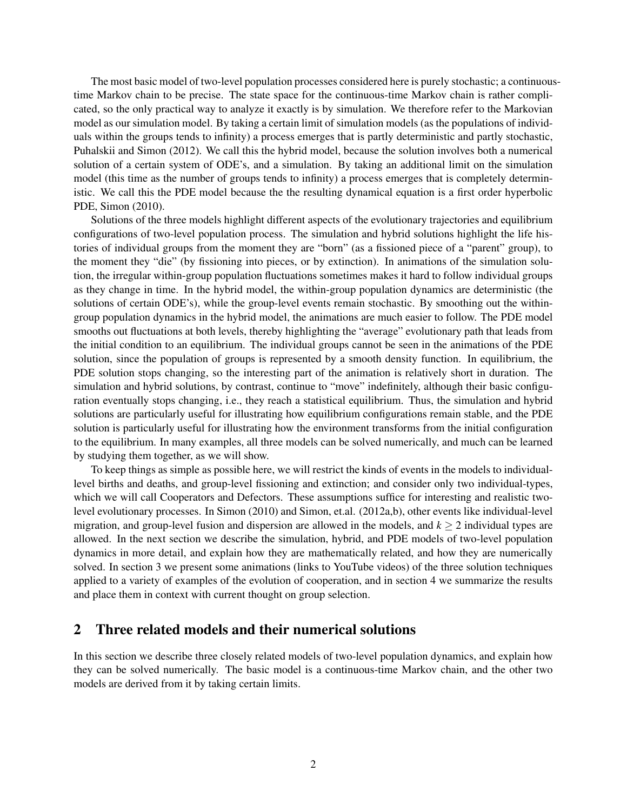The most basic model of two-level population processes considered here is purely stochastic; a continuoustime Markov chain to be precise. The state space for the continuous-time Markov chain is rather complicated, so the only practical way to analyze it exactly is by simulation. We therefore refer to the Markovian model as our simulation model. By taking a certain limit of simulation models (as the populations of individuals within the groups tends to infinity) a process emerges that is partly deterministic and partly stochastic, Puhalskii and Simon (2012). We call this the hybrid model, because the solution involves both a numerical solution of a certain system of ODE's, and a simulation. By taking an additional limit on the simulation model (this time as the number of groups tends to infinity) a process emerges that is completely deterministic. We call this the PDE model because the the resulting dynamical equation is a first order hyperbolic PDE, Simon (2010).

Solutions of the three models highlight different aspects of the evolutionary trajectories and equilibrium configurations of two-level population process. The simulation and hybrid solutions highlight the life histories of individual groups from the moment they are "born" (as a fissioned piece of a "parent" group), to the moment they "die" (by fissioning into pieces, or by extinction). In animations of the simulation solution, the irregular within-group population fluctuations sometimes makes it hard to follow individual groups as they change in time. In the hybrid model, the within-group population dynamics are deterministic (the solutions of certain ODE's), while the group-level events remain stochastic. By smoothing out the withingroup population dynamics in the hybrid model, the animations are much easier to follow. The PDE model smooths out fluctuations at both levels, thereby highlighting the "average" evolutionary path that leads from the initial condition to an equilibrium. The individual groups cannot be seen in the animations of the PDE solution, since the population of groups is represented by a smooth density function. In equilibrium, the PDE solution stops changing, so the interesting part of the animation is relatively short in duration. The simulation and hybrid solutions, by contrast, continue to "move" indefinitely, although their basic configuration eventually stops changing, i.e., they reach a statistical equilibrium. Thus, the simulation and hybrid solutions are particularly useful for illustrating how equilibrium configurations remain stable, and the PDE solution is particularly useful for illustrating how the environment transforms from the initial configuration to the equilibrium. In many examples, all three models can be solved numerically, and much can be learned by studying them together, as we will show.

To keep things as simple as possible here, we will restrict the kinds of events in the models to individuallevel births and deaths, and group-level fissioning and extinction; and consider only two individual-types, which we will call Cooperators and Defectors. These assumptions suffice for interesting and realistic twolevel evolutionary processes. In Simon (2010) and Simon, et.al. (2012a,b), other events like individual-level migration, and group-level fusion and dispersion are allowed in the models, and  $k \geq 2$  individual types are allowed. In the next section we describe the simulation, hybrid, and PDE models of two-level population dynamics in more detail, and explain how they are mathematically related, and how they are numerically solved. In section 3 we present some animations (links to YouTube videos) of the three solution techniques applied to a variety of examples of the evolution of cooperation, and in section 4 we summarize the results and place them in context with current thought on group selection.

### 2 Three related models and their numerical solutions

In this section we describe three closely related models of two-level population dynamics, and explain how they can be solved numerically. The basic model is a continuous-time Markov chain, and the other two models are derived from it by taking certain limits.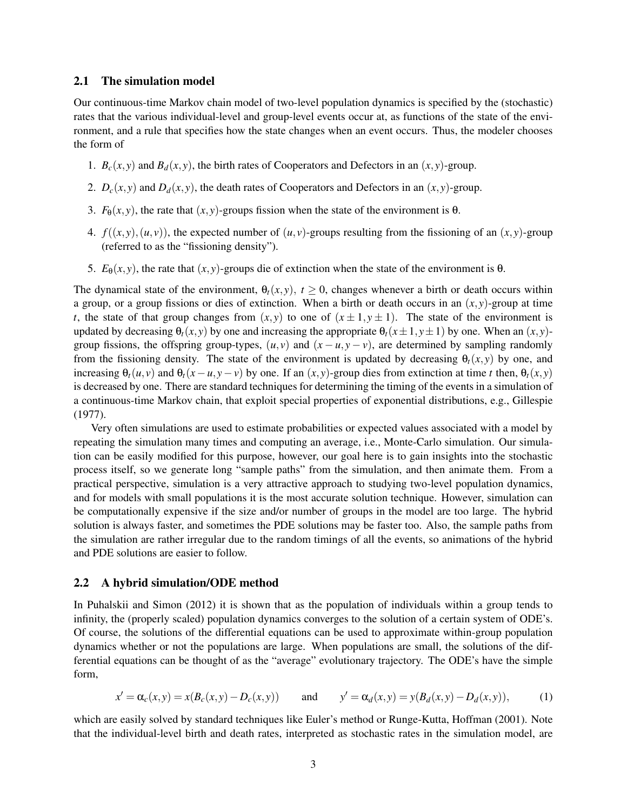### 2.1 The simulation model

Our continuous-time Markov chain model of two-level population dynamics is specified by the (stochastic) rates that the various individual-level and group-level events occur at, as functions of the state of the environment, and a rule that specifies how the state changes when an event occurs. Thus, the modeler chooses the form of

- 1.  $B_c(x, y)$  and  $B_d(x, y)$ , the birth rates of Cooperators and Defectors in an  $(x, y)$ -group.
- 2.  $D_c(x, y)$  and  $D_d(x, y)$ , the death rates of Cooperators and Defectors in an  $(x, y)$ -group.
- 3.  $F_{\theta}(x, y)$ , the rate that  $(x, y)$ -groups fission when the state of the environment is  $\theta$ .
- 4.  $f((x, y), (u, v))$ , the expected number of  $(u, v)$ -groups resulting from the fissioning of an  $(x, y)$ -group (referred to as the "fissioning density").
- 5.  $E_{\theta}(x, y)$ , the rate that  $(x, y)$ -groups die of extinction when the state of the environment is θ.

The dynamical state of the environment,  $\theta_t(x, y)$ ,  $t \ge 0$ , changes whenever a birth or death occurs within a group, or a group fissions or dies of extinction. When a birth or death occurs in an  $(x, y)$ -group at time *t*, the state of that group changes from  $(x, y)$  to one of  $(x \pm 1, y \pm 1)$ . The state of the environment is updated by decreasing  $\theta_t(x, y)$  by one and increasing the appropriate  $\theta_t(x \pm 1, y \pm 1)$  by one. When an  $(x, y)$ group fissions, the offspring group-types,  $(u, v)$  and  $(x - u, y - v)$ , are determined by sampling randomly from the fissioning density. The state of the environment is updated by decreasing  $\theta_t(x, y)$  by one, and increasing  $\theta_t(u, v)$  and  $\theta_t(x - u, y - v)$  by one. If an  $(x, y)$ -group dies from extinction at time *t* then,  $\theta_t(x, y)$ is decreased by one. There are standard techniques for determining the timing of the events in a simulation of a continuous-time Markov chain, that exploit special properties of exponential distributions, e.g., Gillespie (1977).

Very often simulations are used to estimate probabilities or expected values associated with a model by repeating the simulation many times and computing an average, i.e., Monte-Carlo simulation. Our simulation can be easily modified for this purpose, however, our goal here is to gain insights into the stochastic process itself, so we generate long "sample paths" from the simulation, and then animate them. From a practical perspective, simulation is a very attractive approach to studying two-level population dynamics, and for models with small populations it is the most accurate solution technique. However, simulation can be computationally expensive if the size and/or number of groups in the model are too large. The hybrid solution is always faster, and sometimes the PDE solutions may be faster too. Also, the sample paths from the simulation are rather irregular due to the random timings of all the events, so animations of the hybrid and PDE solutions are easier to follow.

#### 2.2 A hybrid simulation/ODE method

In Puhalskii and Simon (2012) it is shown that as the population of individuals within a group tends to infinity, the (properly scaled) population dynamics converges to the solution of a certain system of ODE's. Of course, the solutions of the differential equations can be used to approximate within-group population dynamics whether or not the populations are large. When populations are small, the solutions of the differential equations can be thought of as the "average" evolutionary trajectory. The ODE's have the simple form,

<span id="page-2-0"></span>
$$
x' = \alpha_c(x, y) = x(B_c(x, y) - D_c(x, y))
$$
 and  $y' = \alpha_d(x, y) = y(B_d(x, y) - D_d(x, y)),$  (1)

which are easily solved by standard techniques like Euler's method or Runge-Kutta, Hoffman (2001). Note that the individual-level birth and death rates, interpreted as stochastic rates in the simulation model, are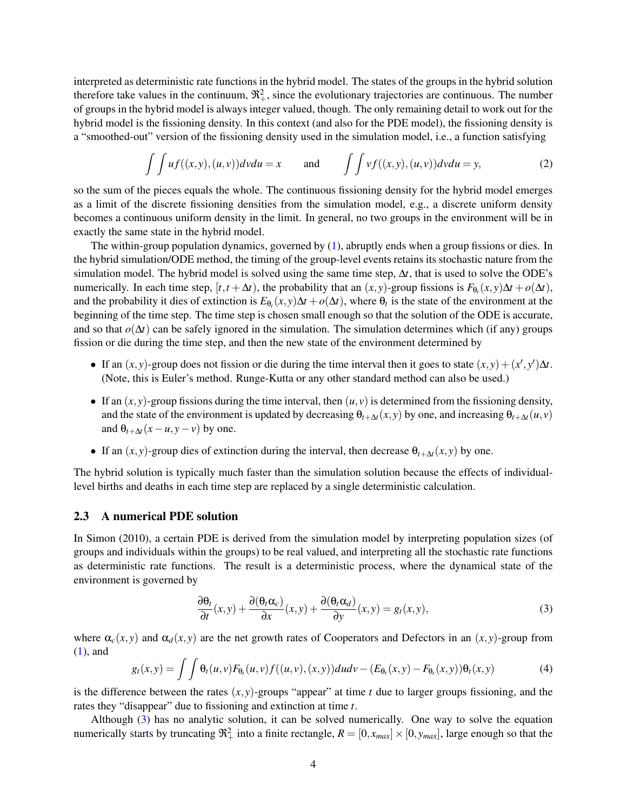interpreted as deterministic rate functions in the hybrid model. The states of the groups in the hybrid solution therefore take values in the continuum,  $\mathfrak{R}^2_+$ , since the evolutionary trajectories are continuous. The number of groups in the hybrid model is always integer valued, though. The only remaining detail to work out for the hybrid model is the fissioning density. In this context (and also for the PDE model), the fissioning density is a "smoothed-out" version of the fissioning density used in the simulation model, i.e., a function satisfying

<span id="page-3-2"></span>
$$
\int \int u f((x, y), (u, v)) dv du = x \quad \text{and} \quad \int \int v f((x, y), (u, v)) dv du = y,
$$
 (2)

so the sum of the pieces equals the whole. The continuous fissioning density for the hybrid model emerges as a limit of the discrete fissioning densities from the simulation model, e.g., a discrete uniform density becomes a continuous uniform density in the limit. In general, no two groups in the environment will be in exactly the same state in the hybrid model.

The within-group population dynamics, governed by [\(1\)](#page-2-0), abruptly ends when a group fissions or dies. In the hybrid simulation/ODE method, the timing of the group-level events retains its stochastic nature from the simulation model. The hybrid model is solved using the same time step,  $\Delta t$ , that is used to solve the ODE's numerically. In each time step,  $[t, t + \Delta t)$ , the probability that an  $(x, y)$ -group fissions is  $F_{\theta_t}(x, y)\Delta t + o(\Delta t)$ , and the probability it dies of extinction is  $E_{\theta_t}(x, y)\Delta t + o(\Delta t)$ , where  $\theta_t$  is the state of the environment at the beginning of the time step. The time step is chosen small enough so that the solution of the ODE is accurate, and so that *o*(∆*t*) can be safely ignored in the simulation. The simulation determines which (if any) groups fission or die during the time step, and then the new state of the environment determined by

- If an  $(x, y)$ -group does not fission or die during the time interval then it goes to state  $(x, y) + (x', y')\Delta t$ . (Note, this is Euler's method. Runge-Kutta or any other standard method can also be used.)
- If an  $(x, y)$ -group fissions during the time interval, then  $(u, v)$  is determined from the fissioning density, and the state of the environment is updated by decreasing  $\theta_{t+\Delta t}(x, y)$  by one, and increasing  $\theta_{t+\Delta t}(u, v)$ and  $\theta_{t+\Delta t}(x-u, y-v)$  by one.
- If an  $(x, y)$ -group dies of extinction during the interval, then decrease  $\theta_{t+\Delta t}(x, y)$  by one.

The hybrid solution is typically much faster than the simulation solution because the effects of individuallevel births and deaths in each time step are replaced by a single deterministic calculation.

### 2.3 A numerical PDE solution

In Simon (2010), a certain PDE is derived from the simulation model by interpreting population sizes (of groups and individuals within the groups) to be real valued, and interpreting all the stochastic rate functions as deterministic rate functions. The result is a deterministic process, where the dynamical state of the environment is governed by

<span id="page-3-0"></span>
$$
\frac{\partial \theta_t}{\partial t}(x, y) + \frac{\partial (\theta_t \alpha_c)}{\partial x}(x, y) + \frac{\partial (\theta_t \alpha_d)}{\partial y}(x, y) = g_t(x, y),
$$
\n(3)

where  $\alpha_c(x, y)$  and  $\alpha_d(x, y)$  are the net growth rates of Cooperators and Defectors in an  $(x, y)$ -group from [\(1\)](#page-2-0), and

<span id="page-3-1"></span>
$$
g_t(x,y) = \int \int \theta_t(u,v) F_{\theta_t}(u,v) f((u,v),(x,y)) du dv - (E_{\theta_t}(x,y) - F_{\theta_t}(x,y)) \theta_t(x,y)
$$
(4)

is the difference between the rates  $(x, y)$ -groups "appear" at time  $t$  due to larger groups fissioning, and the rates they "disappear" due to fissioning and extinction at time *t*.

Although [\(3\)](#page-3-0) has no analytic solution, it can be solved numerically. One way to solve the equation numerically starts by truncating  $\mathfrak{R}^2_+$  into a finite rectangle,  $R = [0, x_{max}] \times [0, y_{max}]$ , large enough so that the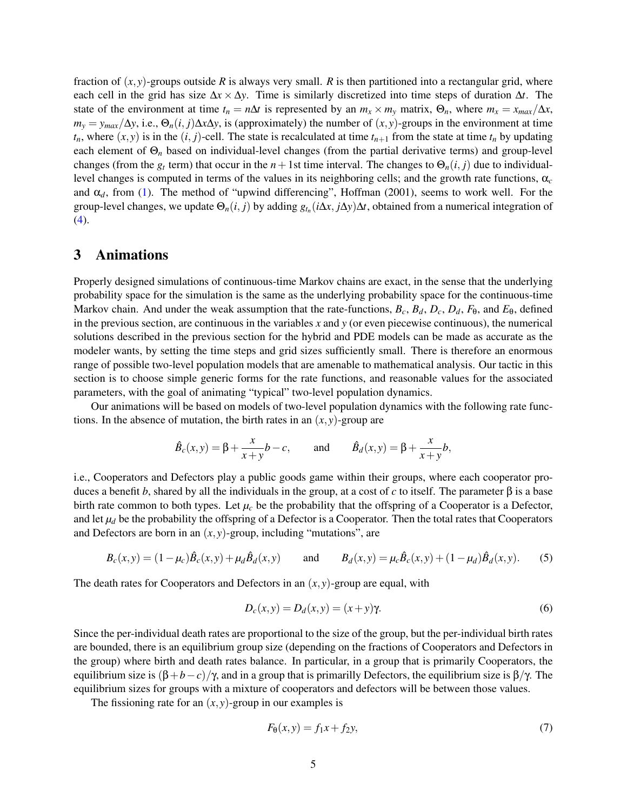fraction of  $(x, y)$ -groups outside *R* is always very small. *R* is then partitioned into a rectangular grid, where each cell in the grid has size ∆*x* × ∆*y*. Time is similarly discretized into time steps of duration ∆*t*. The state of the environment at time  $t_n = n\Delta t$  is represented by an  $m_x \times m_y$  matrix,  $\Theta_n$ , where  $m_x = x_{max}/\Delta x$ ,  $m_y = y_{max}/\Delta y$ , i.e.,  $\Theta_n(i, j)\Delta x \Delta y$ , is (approximately) the number of  $(x, y)$ -groups in the environment at time  $t_n$ , where  $(x, y)$  is in the  $(i, j)$ -cell. The state is recalculated at time  $t_{n+1}$  from the state at time  $t_n$  by updating each element of Θ*<sup>n</sup>* based on individual-level changes (from the partial derivative terms) and group-level changes (from the  $g_t$  term) that occur in the  $n+1$ st time interval. The changes to  $\Theta_n(i,j)$  due to individuallevel changes is computed in terms of the values in its neighboring cells; and the growth rate functions, α*<sup>c</sup>* and  $\alpha_d$ , from [\(1\)](#page-2-0). The method of "upwind differencing", Hoffman (2001), seems to work well. For the group-level changes, we update  $\Theta_n(i, j)$  by adding  $g_{t_n}(i\Delta x, j\Delta y)\Delta t$ , obtained from a numerical integration of [\(4\)](#page-3-1).

## 3 Animations

Properly designed simulations of continuous-time Markov chains are exact, in the sense that the underlying probability space for the simulation is the same as the underlying probability space for the continuous-time Markov chain. And under the weak assumption that the rate-functions,  $B_c$ ,  $B_d$ ,  $D_c$ ,  $D_d$ ,  $F_\theta$ , and  $E_\theta$ , defined in the previous section, are continuous in the variables *x* and *y* (or even piecewise continuous), the numerical solutions described in the previous section for the hybrid and PDE models can be made as accurate as the modeler wants, by setting the time steps and grid sizes sufficiently small. There is therefore an enormous range of possible two-level population models that are amenable to mathematical analysis. Our tactic in this section is to choose simple generic forms for the rate functions, and reasonable values for the associated parameters, with the goal of animating "typical" two-level population dynamics.

Our animations will be based on models of two-level population dynamics with the following rate functions. In the absence of mutation, the birth rates in an  $(x, y)$ -group are

$$
\hat{B}_c(x,y) = \beta + \frac{x}{x+y}b - c
$$
, and  $\hat{B}_d(x,y) = \beta + \frac{x}{x+y}b$ ,

i.e., Cooperators and Defectors play a public goods game within their groups, where each cooperator produces a benefit *b*, shared by all the individuals in the group, at a cost of *c* to itself. The parameter β is a base birth rate common to both types. Let  $\mu_c$  be the probability that the offspring of a Cooperator is a Defector, and let  $\mu_d$  be the probability the offspring of a Defector is a Cooperator. Then the total rates that Cooperators and Defectors are born in an  $(x, y)$ -group, including "mutations", are

<span id="page-4-0"></span>
$$
B_c(x,y) = (1 - \mu_c)\hat{B}_c(x,y) + \mu_d \hat{B}_d(x,y) \quad \text{and} \quad B_d(x,y) = \mu_c \hat{B}_c(x,y) + (1 - \mu_d)\hat{B}_d(x,y). \tag{5}
$$

The death rates for Cooperators and Defectors in an  $(x, y)$ -group are equal, with

$$
D_c(x, y) = D_d(x, y) = (x + y)\gamma.
$$
\n<sup>(6)</sup>

Since the per-individual death rates are proportional to the size of the group, but the per-individual birth rates are bounded, there is an equilibrium group size (depending on the fractions of Cooperators and Defectors in the group) where birth and death rates balance. In particular, in a group that is primarily Cooperators, the equilibrium size is  $(β+b−c)/γ$ , and in a group that is primarilly Defectors, the equilibrium size is  $β/γ$ . The equilibrium sizes for groups with a mixture of cooperators and defectors will be between those values.

The fissioning rate for an  $(x, y)$ -group in our examples is

$$
F_{\theta}(x, y) = f_1 x + f_2 y,\tag{7}
$$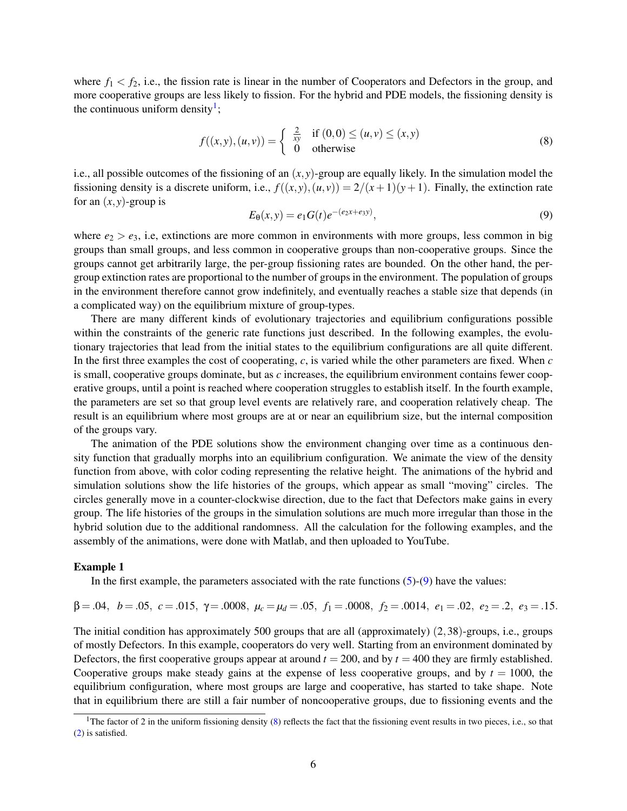where  $f_1 < f_2$ , i.e., the fission rate is linear in the number of Cooperators and Defectors in the group, and more cooperative groups are less likely to fission. For the hybrid and PDE models, the fissioning density is the continuous uniform density<sup>[1](#page-5-0)</sup>;

<span id="page-5-2"></span>
$$
f((x, y), (u, v)) = \begin{cases} \frac{2}{xy} & \text{if } (0, 0) \le (u, v) \le (x, y) \\ 0 & \text{otherwise} \end{cases}
$$
 (8)

i.e., all possible outcomes of the fissioning of an  $(x, y)$ -group are equally likely. In the simulation model the fissioning density is a discrete uniform, i.e.,  $f((x, y), (u, v)) = 2/(x+1)(y+1)$ . Finally, the extinction rate for an  $(x, y)$ -group is

<span id="page-5-1"></span>
$$
E_{\theta}(x, y) = e_1 G(t) e^{-(e_2 x + e_3 y)}, \qquad (9)
$$

where  $e_2 > e_3$ , i.e, extinctions are more common in environments with more groups, less common in big groups than small groups, and less common in cooperative groups than non-cooperative groups. Since the groups cannot get arbitrarily large, the per-group fissioning rates are bounded. On the other hand, the pergroup extinction rates are proportional to the number of groups in the environment. The population of groups in the environment therefore cannot grow indefinitely, and eventually reaches a stable size that depends (in a complicated way) on the equilibrium mixture of group-types.

There are many different kinds of evolutionary trajectories and equilibrium configurations possible within the constraints of the generic rate functions just described. In the following examples, the evolutionary trajectories that lead from the initial states to the equilibrium configurations are all quite different. In the first three examples the cost of cooperating, *c*, is varied while the other parameters are fixed. When *c* is small, cooperative groups dominate, but as *c* increases, the equilibrium environment contains fewer cooperative groups, until a point is reached where cooperation struggles to establish itself. In the fourth example, the parameters are set so that group level events are relatively rare, and cooperation relatively cheap. The result is an equilibrium where most groups are at or near an equilibrium size, but the internal composition of the groups vary.

The animation of the PDE solutions show the environment changing over time as a continuous density function that gradually morphs into an equilibrium configuration. We animate the view of the density function from above, with color coding representing the relative height. The animations of the hybrid and simulation solutions show the life histories of the groups, which appear as small "moving" circles. The circles generally move in a counter-clockwise direction, due to the fact that Defectors make gains in every group. The life histories of the groups in the simulation solutions are much more irregular than those in the hybrid solution due to the additional randomness. All the calculation for the following examples, and the assembly of the animations, were done with Matlab, and then uploaded to YouTube.

#### Example 1

In the first example, the parameters associated with the rate functions  $(5)-(9)$  $(5)-(9)$  $(5)-(9)$  have the values:

 $β = .04, b = .05, c = .015, γ = .0008, μ<sub>c</sub> = μ<sub>d</sub> = .05, f<sub>1</sub> = .0008, f<sub>2</sub> = .0014, e<sub>1</sub> = .02, e<sub>2</sub> = .2, e<sub>3</sub> = .15.$ 

The initial condition has approximately 500 groups that are all (approximately)  $(2,38)$ -groups, i.e., groups of mostly Defectors. In this example, cooperators do very well. Starting from an environment dominated by Defectors, the first cooperative groups appear at around  $t = 200$ , and by  $t = 400$  they are firmly established. Cooperative groups make steady gains at the expense of less cooperative groups, and by  $t = 1000$ , the equilibrium configuration, where most groups are large and cooperative, has started to take shape. Note that in equilibrium there are still a fair number of noncooperative groups, due to fissioning events and the

<span id="page-5-0"></span><sup>&</sup>lt;sup>1</sup>The factor of 2 in the uniform fissioning density [\(8\)](#page-5-2) reflects the fact that the fissioning event results in two pieces, i.e., so that [\(2\)](#page-3-2) is satisfied.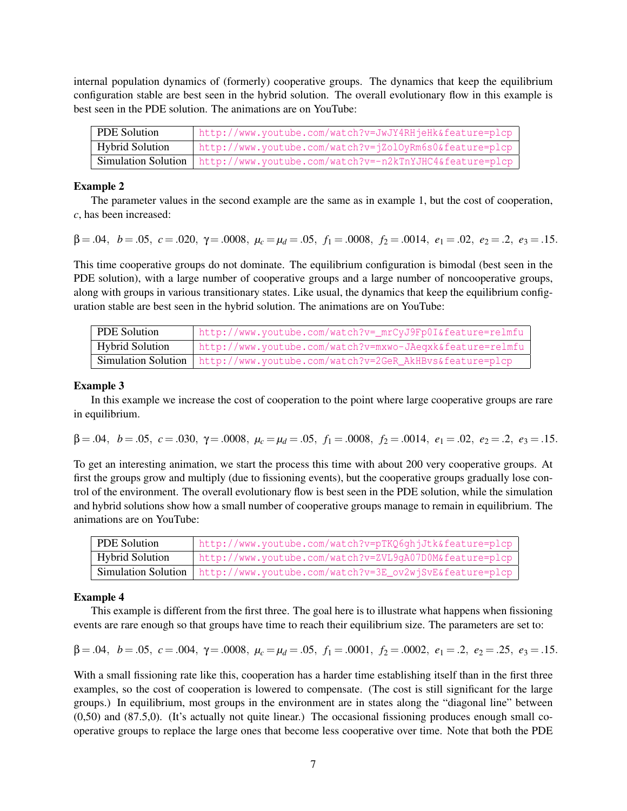internal population dynamics of (formerly) cooperative groups. The dynamics that keep the equilibrium configuration stable are best seen in the hybrid solution. The overall evolutionary flow in this example is best seen in the PDE solution. The animations are on YouTube:

| <b>PDE Solution</b>    | http://www.youtube.com/watch?v=JwJY4RHjeHk&feature=plcp                       |
|------------------------|-------------------------------------------------------------------------------|
| <b>Hybrid Solution</b> | http://www.youtube.com/watch?v=jZolOyRm6s0&feature=plcp                       |
|                        | Simulation Solution   http://www.youtube.com/watch?v=-n2kTnYJHC4&feature=plcp |

### Example 2

The parameter values in the second example are the same as in example 1, but the cost of cooperation, *c*, has been increased:

 $β = .04, b = .05, c = .020, γ = .0008, μ<sub>c</sub> = μ<sub>d</sub> = .05, f<sub>1</sub> = .0008, f<sub>2</sub> = .0014, e<sub>1</sub> = .02, e<sub>2</sub> = .2, e<sub>3</sub> = .15.$ 

This time cooperative groups do not dominate. The equilibrium configuration is bimodal (best seen in the PDE solution), with a large number of cooperative groups and a large number of noncooperative groups, along with groups in various transitionary states. Like usual, the dynamics that keep the equilibrium configuration stable are best seen in the hybrid solution. The animations are on YouTube:

| PDE Solution           | http://www.youtube.com/watch?v=_mrCyJ9Fp0I&feature=relmfu                     |
|------------------------|-------------------------------------------------------------------------------|
| <b>Hybrid Solution</b> | http://www.youtube.com/watch?v=mxwo-JAeqxk&feature=relmfu                     |
|                        | Simulation Solution   http://www.youtube.com/watch?v=2GeR_AkHBvs&feature=plcp |

### Example 3

In this example we increase the cost of cooperation to the point where large cooperative groups are rare in equilibrium.

 $β = .04, b = .05, c = .030, γ = .0008, μ<sub>c</sub> = μ<sub>d</sub> = .05, f<sub>1</sub> = .0008, f<sub>2</sub> = .0014, e<sub>1</sub> = .02, e<sub>2</sub> = .2, e<sub>3</sub> = .15.$ 

To get an interesting animation, we start the process this time with about 200 very cooperative groups. At first the groups grow and multiply (due to fissioning events), but the cooperative groups gradually lose control of the environment. The overall evolutionary flow is best seen in the PDE solution, while the simulation and hybrid solutions show how a small number of cooperative groups manage to remain in equilibrium. The animations are on YouTube:

| PDE Solution           | http://www.youtube.com/watch?v=pTKQ6ghjJtk&feature=plcp                       |
|------------------------|-------------------------------------------------------------------------------|
| <b>Hybrid Solution</b> | http://www.youtube.com/watch?v=ZVL9gA07D0M&feature=plcp                       |
|                        | Simulation Solution   http://www.youtube.com/watch?v=3E_ov2wjSvE&feature=plcp |

#### Example 4

This example is different from the first three. The goal here is to illustrate what happens when fissioning events are rare enough so that groups have time to reach their equilibrium size. The parameters are set to:

$$
\beta = .04, b = .05, c = .004, \gamma = .0008, \mu_c = \mu_d = .05, f_1 = .0001, f_2 = .0002, e_1 = .2, e_2 = .25, e_3 = .15.
$$

With a small fissioning rate like this, cooperation has a harder time establishing itself than in the first three examples, so the cost of cooperation is lowered to compensate. (The cost is still significant for the large groups.) In equilibrium, most groups in the environment are in states along the "diagonal line" between (0,50) and (87.5,0). (It's actually not quite linear.) The occasional fissioning produces enough small cooperative groups to replace the large ones that become less cooperative over time. Note that both the PDE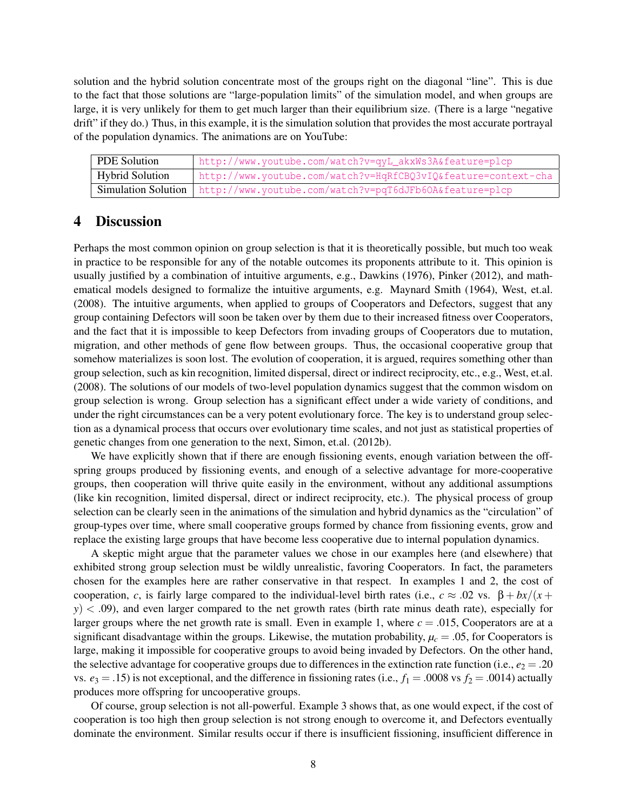solution and the hybrid solution concentrate most of the groups right on the diagonal "line". This is due to the fact that those solutions are "large-population limits" of the simulation model, and when groups are large, it is very unlikely for them to get much larger than their equilibrium size. (There is a large "negative drift" if they do.) Thus, in this example, it is the simulation solution that provides the most accurate portrayal of the population dynamics. The animations are on YouTube:

| <sup>D</sup> PDE Solution | http://www.youtube.com/watch?v=qyL_akxWs3A&feature=plcp                       |
|---------------------------|-------------------------------------------------------------------------------|
| Hybrid Solution           | http://www.youtube.com/watch?v=HqRfCBQ3vIQ&feature=context-cha                |
|                           | Simulation Solution   http://www.youtube.com/watch?v=pqT6dJFb60A&feature=plcp |

### 4 Discussion

Perhaps the most common opinion on group selection is that it is theoretically possible, but much too weak in practice to be responsible for any of the notable outcomes its proponents attribute to it. This opinion is usually justified by a combination of intuitive arguments, e.g., Dawkins (1976), Pinker (2012), and mathematical models designed to formalize the intuitive arguments, e.g. Maynard Smith (1964), West, et.al. (2008). The intuitive arguments, when applied to groups of Cooperators and Defectors, suggest that any group containing Defectors will soon be taken over by them due to their increased fitness over Cooperators, and the fact that it is impossible to keep Defectors from invading groups of Cooperators due to mutation, migration, and other methods of gene flow between groups. Thus, the occasional cooperative group that somehow materializes is soon lost. The evolution of cooperation, it is argued, requires something other than group selection, such as kin recognition, limited dispersal, direct or indirect reciprocity, etc., e.g., West, et.al. (2008). The solutions of our models of two-level population dynamics suggest that the common wisdom on group selection is wrong. Group selection has a significant effect under a wide variety of conditions, and under the right circumstances can be a very potent evolutionary force. The key is to understand group selection as a dynamical process that occurs over evolutionary time scales, and not just as statistical properties of genetic changes from one generation to the next, Simon, et.al. (2012b).

We have explicitly shown that if there are enough fissioning events, enough variation between the offspring groups produced by fissioning events, and enough of a selective advantage for more-cooperative groups, then cooperation will thrive quite easily in the environment, without any additional assumptions (like kin recognition, limited dispersal, direct or indirect reciprocity, etc.). The physical process of group selection can be clearly seen in the animations of the simulation and hybrid dynamics as the "circulation" of group-types over time, where small cooperative groups formed by chance from fissioning events, grow and replace the existing large groups that have become less cooperative due to internal population dynamics.

A skeptic might argue that the parameter values we chose in our examples here (and elsewhere) that exhibited strong group selection must be wildly unrealistic, favoring Cooperators. In fact, the parameters chosen for the examples here are rather conservative in that respect. In examples 1 and 2, the cost of cooperation, *c*, is fairly large compared to the individual-level birth rates (i.e.,  $c \approx .02$  vs.  $\beta + bx/(x +$  $y$ )  $\lt$  .09), and even larger compared to the net growth rates (birth rate minus death rate), especially for larger groups where the net growth rate is small. Even in example 1, where  $c = .015$ , Cooperators are at a significant disadvantage within the groups. Likewise, the mutation probability,  $\mu_c = .05$ , for Cooperators is large, making it impossible for cooperative groups to avoid being invaded by Defectors. On the other hand, the selective advantage for cooperative groups due to differences in the extinction rate function (i.e.,  $e_2 = .20$ ) vs.  $e_3 = .15$ ) is not exceptional, and the difference in fissioning rates (i.e.,  $f_1 = .0008$  vs  $f_2 = .0014$ ) actually produces more offspring for uncooperative groups.

Of course, group selection is not all-powerful. Example 3 shows that, as one would expect, if the cost of cooperation is too high then group selection is not strong enough to overcome it, and Defectors eventually dominate the environment. Similar results occur if there is insufficient fissioning, insufficient difference in